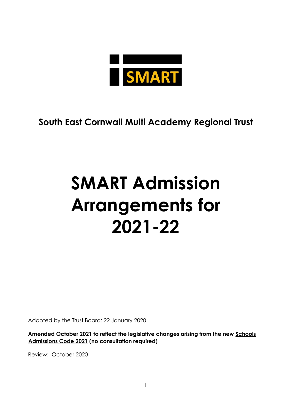

# **South East Cornwall Multi Academy Regional Trust**

# **SMART Admission Arrangements for 2021-22**

Adopted by the Trust Board: 22 January 2020

**Amended October 2021 to reflect the legislative changes arising from the new [Schools](https://www.gov.uk/government/publications/school-admissions-code--2)  [Admissions Code 2021](https://www.gov.uk/government/publications/school-admissions-code--2) (no consultation required)**

Review: October 2020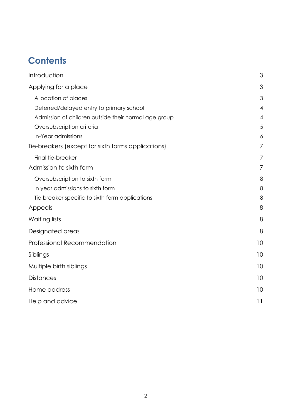# **Contents**

| Introduction                                         | 3              |
|------------------------------------------------------|----------------|
| Applying for a place                                 | 3              |
| Allocation of places                                 | 3              |
| Deferred/delayed entry to primary school             | 4              |
| Admission of children outside their normal age group | $\overline{4}$ |
| Oversubscription criteria                            | 5              |
| In-Year admissions                                   | 6              |
| Tie-breakers (except for sixth forms applications)   | 7              |
| Final tie-breaker                                    | 7              |
| Admission to sixth form                              | 7              |
| Oversubscription to sixth form                       | 8              |
| In year admissions to sixth form                     | 8              |
| Tie breaker specific to sixth form applications      | 8              |
| Appeals                                              | 8              |
| Waiting lists                                        | 8              |
| Designated areas                                     | 8              |
| <b>Professional Recommendation</b>                   | 10             |
| Siblings                                             | 10             |
| Multiple birth siblings                              | 10             |
| <b>Distances</b>                                     | 10             |
| Home address                                         | 10             |
| Help and advice                                      | 11             |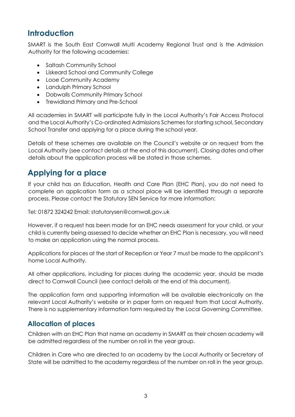# <span id="page-2-0"></span>**Introduction**

SMART is the South East Cornwall Multi Academy Regional Trust and is the Admission Authority for the following academies:

- Saltash Community School
- Liskeard School and Community College
- Looe Community Academy
- Landulph Primary School
- Dobwalls Community Primary School
- Trewidland Primary and Pre-School

All academies in SMART will participate fully in the Local Authority's Fair Access Protocol and the Local Authority's Co-ordinated Admissions Schemes for starting school, Secondary School Transfer and applying for a place during the school year.

Details of these schemes are available on the Council's website or on request from the Local Authority (see contact details at the end of this document). Closing dates and other details about the application process will be stated in those schemes.

# <span id="page-2-1"></span>**Applying for a place**

If your child has an Education, Health and Care Plan (EHC Plan), you do not need to complete an application form as a school place will be identified through a separate process. Please contact the Statutory SEN Service for more information:

Tel: 01872 324242 Email: statutorysen@cornwall.gov.uk

However, if a request has been made for an EHC needs assessment for your child, or your child is currently being assessed to decide whether an EHC Plan is necessary, you will need to make an application using the normal process.

Applications for places at the start of Reception or Year 7 must be made to the applicant's home Local Authority.

All other applications, including for places during the academic year, should be made direct to Cornwall Council (see contact details at the end of this document).

The application form and supporting information will be available electronically on the relevant Local Authority's website or in paper form on request from that Local Authority. There is no supplementary information form required by the Local Governing Committee.

#### <span id="page-2-2"></span>**Allocation of places**

Children with an EHC Plan that name an academy in SMART as their chosen academy will be admitted regardless of the number on roll in the year group.

Children in Care who are directed to an academy by the Local Authority or Secretary of State will be admitted to the academy regardless of the number on roll in the year group.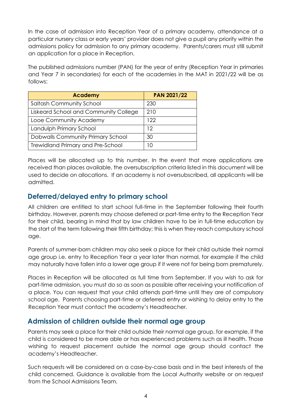In the case of admission into Reception Year of a primary academy, attendance at a particular nursery class or early years' provider does not give a pupil any priority within the admissions policy for admission to any primary academy. Parents/carers must still submit an application for a place in Reception.

The published admissions number (PAN) for the year of entry (Reception Year in primaries and Year 7 in secondaries) for each of the academies in the MAT in 2021/22 will be as follows:

| <b>Academy</b>                           | <b>PAN 2021/22</b> |
|------------------------------------------|--------------------|
| <b>Saltash Community School</b>          | 230                |
| Liskeard School and Community College    | 210                |
| Looe Community Academy                   | 122                |
| Landulph Primary School                  | 12                 |
| Dobwalls Community Primary School        | 30                 |
| <b>Trewidland Primary and Pre-School</b> | 10                 |

Places will be allocated up to this number. In the event that more applications are received than places available, the oversubscription criteria listed in this document will be used to decide on allocations. If an academy is not oversubscribed, all applicants will be admitted.

#### <span id="page-3-0"></span>**Deferred/delayed entry to primary school**

All children are entitled to start school full-time in the September following their fourth birthday. However, parents may choose deferred or part-time entry to the Reception Year for their child, bearing in mind that by law children have to be in full-time education by the start of the term following their fifth birthday; this is when they reach compulsory school age.

Parents of summer-born children may also seek a place for their child outside their normal age group i.e. entry to Reception Year a year later than normal, for example if the child may naturally have fallen into a lower age group if it were not for being born prematurely.

Places in Reception will be allocated as full time from September. If you wish to ask for part-time admission, you must do so as soon as possible after receiving your notification of a place. You can request that your child attends part-time until they are of compulsory school age. Parents choosing part-time or deferred entry or wishing to delay entry to the Reception Year must contact the academy's Headteacher.

#### <span id="page-3-1"></span>**Admission of children outside their normal age group**

Parents may seek a place for their child outside their normal age group, for example, if the child is considered to be more able or has experienced problems such as ill health. Those wishing to request placement outside the normal age group should contact the academy's Headteacher.

Such requests will be considered on a case-by-case basis and in the best interests of the child concerned. Guidance is available from the Local Authority website or on request from the School Admissions Team.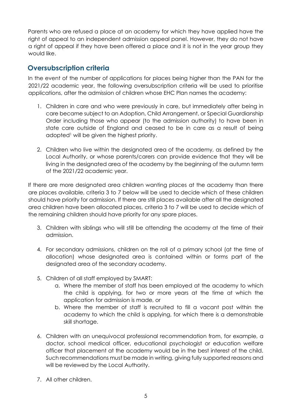Parents who are refused a place at an academy for which they have applied have the right of appeal to an independent admission appeal panel. However, they do not have a right of appeal if they have been offered a place and it is not in the year group they would like.

#### <span id="page-4-0"></span>**Oversubscription criteria**

In the event of the number of applications for places being higher than the PAN for the 2021/22 academic year, the following oversubscription criteria will be used to prioritise applications, after the admission of children whose EHC Plan names the academy:

- 1. Children in care and who were previously in care, but immediately after being in care became subject to an Adoption, Child Arrangement, or Special Guardianship Order including those who appear (to the admission authority) to have been in state care outside of England and ceased to be in care as a result of being adopted<sup>1</sup> will be given the highest priority.
- 2. Children who live within the designated area of the academy, as defined by the Local Authority, or whose parents/carers can provide evidence that they will be living in the designated area of the academy by the beginning of the autumn term of the 2021/22 academic year.

If there are more designated area children wanting places at the academy than there are places available, criteria 3 to 7 below will be used to decide which of these children should have priority for admission. If there are still places available after all the designated area children have been allocated places, criteria 3 to 7 will be used to decide which of the remaining children should have priority for any spare places.

- 3. Children with siblings who will still be attending the academy at the time of their admission.
- 4. For secondary admissions, children on the roll of a primary school (at the time of allocation) whose designated area is contained within or forms part of the designated area of the secondary academy.
- 5. Children of all staff employed by SMART:
	- a. Where the member of staff has been employed at the academy to which the child is applying, for two or more years at the time at which the application for admission is made, or
	- b. Where the member of staff is recruited to fill a vacant post within the academy to which the child is applying, for which there is a demonstrable skill shortage.
- 6. Children with an unequivocal professional recommendation from, for example, a doctor, school medical officer, educational psychologist or education welfare officer that placement at the academy would be in the best interest of the child. Such recommendations must be made in writing, giving fully supported reasons and will be reviewed by the Local Authority.
- 7. All other children.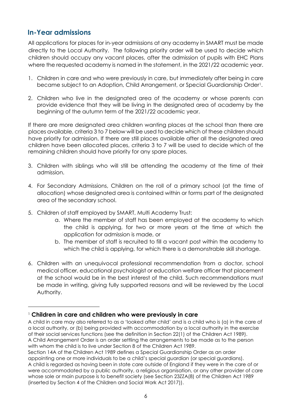#### <span id="page-5-0"></span>**In-Year admissions**

All applications for places for in-year admissions at any academy in SMART must be made directly to the Local Authority. The following priority order will be used to decide which children should occupy any vacant places, after the admission of pupils with EHC Plans where the requested academy is named in the statement, in the 2021/22 academic year.

- 1. Children in care and who were previously in care, but immediately after being in care became subject to an Adoption, Child Arrangement, or Special Guardianship Order<sup>1</sup>.
- 2. Children who live in the designated area of the academy or whose parents can provide evidence that they will be living in the designated area of academy by the beginning of the autumn term of the 2021/22 academic year.

If there are more designated area children wanting places at the school than there are places available, criteria 3 to 7 below will be used to decide which of these children should have priority for admission. If there are still places available after all the designated area children have been allocated places, criteria 3 to 7 will be used to decide which of the remaining children should have priority for any spare places.

- 3. Children with siblings who will still be attending the academy at the time of their admission.
- 4. For Secondary Admissions, Children on the roll of a primary school (at the time of allocation) whose designated area is contained within or forms part of the designated area of the secondary school.
- 5. Children of staff employed by SMART, Multi Academy Trust:
	- a. Where the member of staff has been employed at the academy to which the child is applying, for two or more years at the time at which the application for admission is made, or
	- b. The member of staff is recruited to fill a vacant post within the academy to which the child is applying, for which there is a demonstrable skill shortage.
- 6. Children with an unequivocal professional recommendation from a doctor, school medical officer, educational psychologist or education welfare officer that placement at the school would be in the best interest of the child. Such recommendations must be made in writing, giving fully supported reasons and will be reviewed by the Local Authority.

<sup>1</sup> **Children in care and children who were previously in care**

A child in care may also referred to as a 'looked after child' and is a child who is (a) in the care of a local authority, or (b) being provided with accommodation by a local authority in the exercise of their social services functions (see the definition in Section 22(1) of the Children Act 1989). A Child Arrangement Order is an order settling the arrangements to be made as to the person with whom the child is to live under Section 8 of the Children Act 1989.

Section 14A of the Children Act 1989 defines a Special Guardianship Order as an order appointing one or more individuals to be a child's special guardian (or special guardians). A child is regarded as having been in state care outside of England if they were in the care of or were accommodated by a public authority, a religious organisation, or any other provider of care whose sole or main purpose is to benefit society (see Section 23ZZA(8) of the Children Act 1989 (inserted by Section 4 of the Children and Social Work Act 2017)).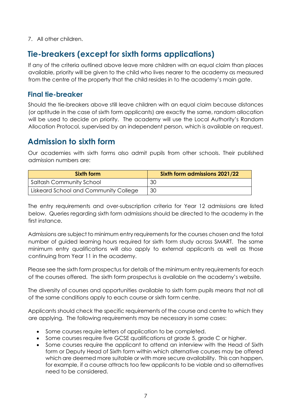7. All other children.

# <span id="page-6-0"></span>**Tie-breakers (except for sixth forms applications)**

If any of the criteria outlined above leave more children with an equal claim than places available, priority will be given to the child who lives nearer to the academy as measured from the centre of the property that the child resides in to the academy's main gate.

#### <span id="page-6-1"></span>**Final tie-breaker**

Should the tie-breakers above still leave children with an equal claim because distances (or aptitude in the case of sixth form applicants) are exactly the same, random allocation will be used to decide on priority. The academy will use the Local Authority's Random Allocation Protocol, supervised by an independent person, which is available on request.

# <span id="page-6-2"></span>**Admission to sixth form**

Our academies with sixth forms also admit pupils from other schools. Their published admission numbers are:

| Sixth form                            | Sixth form admissions 2021/22 |
|---------------------------------------|-------------------------------|
| ' Saltash Community School            | 30                            |
| Liskeard School and Community College | 30                            |

The entry requirements and over-subscription criteria for Year 12 admissions are listed below. Queries regarding sixth form admissions should be directed to the academy in the first instance.

Admissions are subject to minimum entry requirements for the courses chosen and the total number of guided learning hours required for sixth form study across SMART. The same minimum entry qualifications will also apply to external applicants as well as those continuing from Year 11 in the academy.

Please see the sixth form prospectus for details of the minimum entry requirements for each of the courses offered. The sixth form prospectus is available on the academy's website.

The diversity of courses and opportunities available to sixth form pupils means that not all of the same conditions apply to each course or sixth form centre.

Applicants should check the specific requirements of the course and centre to which they are applying. The following requirements may be necessary in some cases:

- Some courses require letters of application to be completed.
- Some courses require five GCSE qualifications at grade 5, grade C or higher.
- Some courses require the applicant to attend an interview with the Head of Sixth form or Deputy Head of Sixth form within which alternative courses may be offered which are deemed more suitable or with more secure availability. This can happen, for example, if a course attracts too few applicants to be viable and so alternatives need to be considered.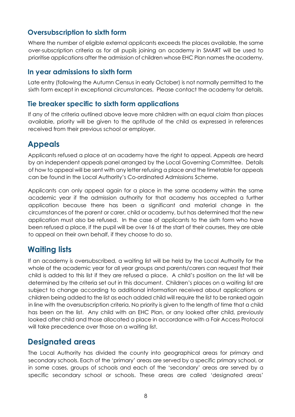#### <span id="page-7-0"></span>**Oversubscription to sixth form**

Where the number of eligible external applicants exceeds the places available, the same over-subscription criteria as for all pupils joining an academy in SMART will be used to prioritise applications after the admission of children whose EHC Plan names the academy.

#### <span id="page-7-1"></span>**In year admissions to sixth form**

Late entry (following the Autumn Census in early October) is not normally permitted to the sixth form except in exceptional circumstances. Please contact the academy for details.

#### <span id="page-7-2"></span>**Tie breaker specific to sixth form applications**

If any of the criteria outlined above leave more children with an equal claim than places available, priority will be given to the aptitude of the child as expressed in references received from their previous school or employer.

# <span id="page-7-3"></span>**Appeals**

Applicants refused a place at an academy have the right to appeal. Appeals are heard by an independent appeals panel arranged by the Local Governing Committee. Details of how to appeal will be sent with any letter refusing a place and the timetable for appeals can be found in the Local Authority's Co-ordinated Admissions Scheme.

Applicants can only appeal again for a place in the same academy within the same academic year if the admission authority for that academy has accepted a further application because there has been a significant and material change in the circumstances of the parent or carer, child or academy, but has determined that the new application must also be refused. In the case of applicants to the sixth form who have been refused a place, if the pupil will be over 16 at the start of their courses, they are able to appeal on their own behalf, if they choose to do so.

## <span id="page-7-4"></span>**Waiting lists**

If an academy is oversubscribed, a waiting list will be held by the Local Authority for the whole of the academic year for all year groups and parents/carers can request that their child is added to this list if they are refused a place. A child's position on the list will be determined by the criteria set out in this document. Children's places on a waiting list are subject to change according to additional information received about applications or children being added to the list as each added child will require the list to be ranked again in line with the oversubscription criteria. No priority is given to the length of time that a child has been on the list. Any child with an EHC Plan, or any looked after child, previously looked after child and those allocated a place in accordance with a Fair Access Protocol will take precedence over those on a waiting list.

#### <span id="page-7-5"></span>**Designated areas**

The Local Authority has divided the county into geographical areas for primary and secondary schools. Each of the 'primary' areas are served by a specific primary school, or in some cases, groups of schools and each of the 'secondary' areas are served by a specific secondary school or schools. These areas are called 'designated areas'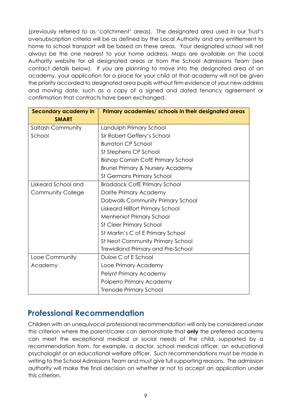(previously referred to as 'catchment' areas). The designated area used in our Trust's oversubscription criteria will be as defined by the Local Authority and any entitlement to home to school transport will be based on these areas. Your designated school will not always be the one nearest to your home address. Maps are available on the Local Authority website for all designated areas or from the School Admissions Team (see contact details below). If you are planning to move into the designated area of an academy, your application for a place for your child at that academy will not be given the priority accorded to designated area pupils without firm evidence of your new address and moving date, such as a copy of a signed and dated tenancy agreement or confirmation that contracts have been exchanged.

| <b>Secondary academy in</b> | Primary academies/ schools in their designated areas |  |
|-----------------------------|------------------------------------------------------|--|
| <b>SMART</b>                |                                                      |  |
| <b>Saltash Community</b>    | Landulph Primary School                              |  |
| School                      | Sir Robert Geffery's School                          |  |
|                             | <b>Burraton CP School</b>                            |  |
|                             | St Stephens CP School                                |  |
|                             | <b>Bishop Cornish CofE Primary School</b>            |  |
|                             | <b>Brunel Primary &amp; Nursery Academy</b>          |  |
|                             | <b>St Germans Primary School</b>                     |  |
| Liskeard School and         | <b>Braddock CofE Primary School</b>                  |  |
| <b>Community College</b>    | Darite Primary Academy                               |  |
|                             | Dobwalls Community Primary School                    |  |
|                             | <b>Liskeard Hillfort Primary School</b>              |  |
|                             | <b>Menheniot Primary School</b>                      |  |
|                             | <b>St Cleer Primary School</b>                       |  |
|                             | St Martin's C of E Primary School                    |  |
|                             | St Neot Community Primary School                     |  |
|                             | Trewidland Primary and Pre-School                    |  |
| Looe Community              | Duloe C of E School                                  |  |
| Academy                     | Looe Primary Academy                                 |  |
|                             | Pelynt Primary Academy                               |  |
|                             | Polperro Primary Academy                             |  |
|                             | <b>Trenode Primary School</b>                        |  |

# **Professional Recommendation**

Children with an unequivocal professional recommendation will only be considered under this criterion where the parent/carer can demonstrate that **only** the preferred academy can meet the exceptional medical or social needs of the child, supported by a recommendation from, for example, a doctor, school medical officer, an educational psychologist or an educational welfare officer. Such recommendations must be made in writing to the School Admissions Team and must give full supporting reasons. The admission authority will make the final decision on whether or not to accept an application under this criterion.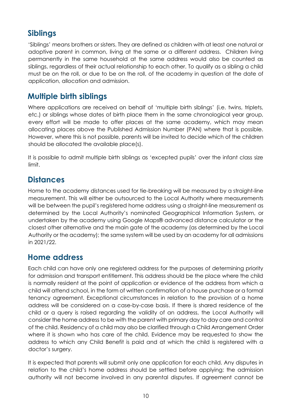# <span id="page-9-0"></span>**Siblings**

'Siblings' means brothers or sisters. They are defined as children with at least one natural or adoptive parent in common, living at the same or a different address. Children living permanently in the same household at the same address would also be counted as siblings, regardless of their actual relationship to each other. To qualify as a sibling a child must be on the roll, or due to be on the roll, of the academy in question at the date of application, allocation and admission.

### <span id="page-9-1"></span>**Multiple birth siblings**

Where applications are received on behalf of 'multiple birth siblings' (i.e. twins, triplets, etc.) or siblings whose dates of birth place them in the same chronological year group, every effort will be made to offer places at the same academy, which may mean allocating places above the Published Admission Number (PAN) where that is possible. However, where this is not possible, parents will be invited to decide which of the children should be allocated the available place(s).

It is possible to admit multiple birth siblings as 'excepted pupils' over the infant class size limit.

## <span id="page-9-2"></span>**Distances**

Home to the academy distances used for tie-breaking will be measured by a straight-line measurement. This will either be outsourced to the Local Authority where measurements will be between the pupil's registered home address using a straight-line measurement as determined by the Local Authority's nominated Geographical Information System, or undertaken by the academy using Google Maps® advanced distance calculator or the closest other alternative and the main gate of the academy (as determined by the Local Authority or the academy); the same system will be used by an academy for all admissions in 2021/22.

#### <span id="page-9-3"></span>**Home address**

Each child can have only one registered address for the purposes of determining priority for admission and transport entitlement. This address should be the place where the child is normally resident at the point of application or evidence of the address from which a child will attend school, in the form of written confirmation of a house purchase or a formal tenancy agreement. Exceptional circumstances in relation to the provision of a home address will be considered on a case-by-case basis. If there is shared residence of the child or a query is raised regarding the validity of an address, the Local Authority will consider the home address to be with the parent with primary day to day care and control of the child. Residency of a child may also be clarified through a Child Arrangement Order where it is shown who has care of the child. Evidence may be requested to show the address to which any Child Benefit is paid and at which the child is registered with a doctor's surgery.

It is expected that parents will submit only one application for each child. Any disputes in relation to the child's home address should be settled before applying; the admission authority will not become involved in any parental disputes. If agreement cannot be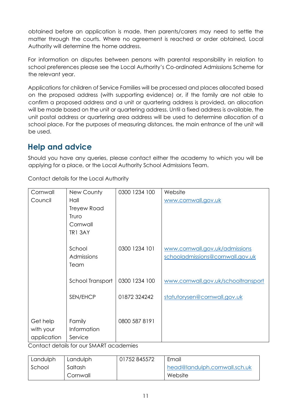obtained before an application is made, then parents/carers may need to settle the matter through the courts. Where no agreement is reached or order obtained, Local Authority will determine the home address.

For information on disputes between persons with parental responsibility in relation to school preferences please see the Local Authority's Co-ordinated Admissions Scheme for the relevant year.

Applications for children of Service Families will be processed and places allocated based on the proposed address (with supporting evidence) or, if the family are not able to confirm a proposed address and a unit or quartering address is provided, an allocation will be made based on the unit or quartering address. Until a fixed address is available, the unit postal address or quartering area address will be used to determine allocation of a school place. For the purposes of measuring distances, the main entrance of the unit will be used.

# <span id="page-10-0"></span>**Help and advice**

Should you have any queries, please contact either the academy to which you will be applying for a place, or the Local Authority School Admissions Team.

Contact details for the Local Authority

| Cornwall    | New County         | 0300 1234 100 | Website                             |
|-------------|--------------------|---------------|-------------------------------------|
| Council     | Hall               |               | www.cornwall.gov.uk                 |
|             | <b>Treyew Road</b> |               |                                     |
|             | Truro              |               |                                     |
|             | Cornwall           |               |                                     |
|             | <b>TR1 3AY</b>     |               |                                     |
|             |                    |               |                                     |
|             | School             | 0300 1234 101 | www.cornwall.gov.uk/admissions      |
|             | Admissions         |               | schooladmissions@cornwall.gov.uk    |
|             | Team               |               |                                     |
|             |                    |               |                                     |
|             | School Transport   | 0300 1234 100 | www.cornwall.gov.uk/schooltransport |
|             |                    |               |                                     |
|             | SEN/EHCP           | 01872324242   | statutorysen@cornwall.gov.uk        |
|             |                    |               |                                     |
|             |                    |               |                                     |
| Get help    | Family             | 0800 587 8191 |                                     |
| with your   | Information        |               |                                     |
| application | Service            |               |                                     |

Contact details for our SMART academies

| Landulph | Landulph | 01752845572 | Email                         |
|----------|----------|-------------|-------------------------------|
| School   | Saltash  |             | head@landulph.cornwall.sch.uk |
|          | Cornwall |             | Website                       |